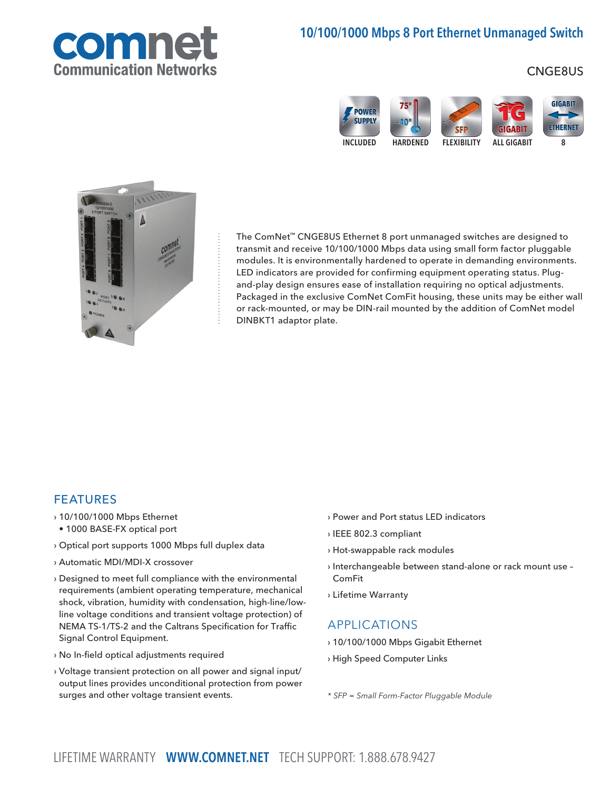

# 10/100/1000 Mbps 8 Port Ethernet Unmanaged Switch

### CNGE8US





The ComNet™ CNGE8US Ethernet 8 port unmanaged switches are designed to transmit and receive 10/100/1000 Mbps data using small form factor pluggable modules. It is environmentally hardened to operate in demanding environments. LED indicators are provided for confirming equipment operating status. Plugand-play design ensures ease of installation requiring no optical adjustments. Packaged in the exclusive ComNet ComFit housing, these units may be either wall or rack-mounted, or may be DIN-rail mounted by the addition of ComNet model DINBKT1 adaptor plate.

#### FEATURES

- › 10/100/1000 Mbps Ethernet
- 1000 BASE-FX optical port
- › Optical port supports 1000 Mbps full duplex data
- › Automatic MDI/MDI-X crossover
- › Designed to meet full compliance with the environmental requirements (ambient operating temperature, mechanical shock, vibration, humidity with condensation, high-line/lowline voltage conditions and transient voltage protection) of NEMA TS-1/TS-2 and the Caltrans Specification for Traffic Signal Control Equipment.
- › No In-field optical adjustments required
- › Voltage transient protection on all power and signal input/ output lines provides unconditional protection from power surges and other voltage transient events.
- › Power and Port status LED indicators
- › IEEE 802.3 compliant
- › Hot-swappable rack modules
- › Interchangeable between stand-alone or rack mount use ComFit
- › Lifetime Warranty

#### APPLICATIONS

- › 10/100/1000 Mbps Gigabit Ethernet
- › High Speed Computer Links

\* SFP = Small Form-Factor Pluggable Module